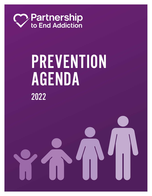

# PREVENTION AGENDA 2022

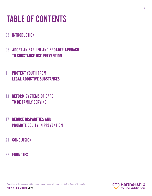### <span id="page-1-0"></span>TABLE OF CONTENTS

#### 03 [INTRODUCTION](#page-2-0)

- [06 ADOPT AN EARLIER AND BROADER APROACH](#page-5-0)  [TO SUBSTANCE USE PREVENTION](#page-5-0)
- [11 PROTECT YOUTH FROM](#page-10-0)  [LEGAL ADDICTIVE SUBSTANCES](#page-10-0)
- [13 REFORM SYSTEMS OF CARE](#page-12-0)  [TO BE FAMILY-SERVING](#page-12-0)
- [17 REDUCE DISPARITIES AND](#page-16-0)  [PROMOTE EQUITY IN PREVENTION](#page-16-0)
- 21 [CONCLUSION](#page-20-0)
- 22 [ENDNOTES](#page-21-0)

**Tip:** Clicking the document title (below) on any page will return you to this Table of Contents.

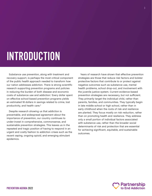## <span id="page-2-0"></span>INTRODUCTION

Substance use prevention, along with treatment and recovery support, is perhaps the most critical component of the public health approach needed to transform how our nation addresses addiction. There is strong scientific research supporting prevention programs and policies in reducing the burden of both disease and economic costs of substance use and addiction.<sup>1</sup> Every dollar spent on effective school-based prevention programs yields an estimated 18 dollars in savings related to crime, lost productivity, and health care.<sup>[2](#page-21-0)</sup>

Despite research showing us that addiction is preventable, and widespread agreement about the importance of prevention, our country continues to under-invest in comprehensive, commonsense, and sustainable prevention strategies. This leaves us in the repeated and tragic position of having to respond in an urgent and costly fashion to addiction crises such as the recent vaping, ongoing opioid, and emerging stimulant epidemics.

Years of research have shown that effective prevention strategies are those that reduce risk factors and bolster protective factors that contribute to or protect against negative outcomes such as substance use, mental health problems, school drop-out, and involvement with the juvenile justice system. Current evidence-based prevention strategies are necessary, but not sufficient. They primarily target the individual child, rather than parents, families, and communities. They typically begin in late middle school or high school, rather than in early childhood when the roots of risk and resilience are planted. They focus mostly on risk reduction, rather than on promoting health and resilience. They address only a small portion of individual factors associated with substance use, rather than the broader social determinants of risk and protection that are essential for achieving significant, equitable, and sustainable outcomes.

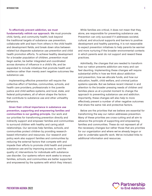**To effectively prevent addiction, we must fundamentally rethink our approach.** We must promote child, family, and community health; look beyond the traditional targets of substance use prevention; collaborate with and learn from others in the child health and development fields; and break down silos between related but disparate substance use prevention and child health promotion efforts. To achieve healthy development for a broader population of children, prevention must begin earlier, be better integrated and coordinated across domains of influence in a child's life, and be expanded to include initiatives that promote health and resilience rather than merely avert negative outcomes like substance use.

Implementing effective prevention will require the collective effort of families, communities, schools, and health care providers; professionals in the juvenile justice and child welfare systems; and local, state, and federal policymakers, all of whom shape the factors that contribute to substance use and other unhealthy behaviors.

**Given their critical importance in substance use prevention, supporting and empowering families and communities is our guiding principle.** Our work and our priorities for transforming prevention directly and indirectly support and empower families and communities to surround children with healthy and caring adult relationships. Our services help families, schools, and communities protect children by providing researchbased information and resources. Our research and policy work also support families and communities by reducing the external factors that compete with and impede their efforts to promote child health and prevent substance use and by improving access to, and the quality of, interventions for individuals with substance use disorder. Our systems reform work seeks to ensure families, schools, and communities are better supported and empowered by the systems with which they interact.

While families are critical, it does not mean that they, alone, are responsible for preventing substance use. Prevention can only succeed if it addresses societal, cultural, and structural supports and barriers to positive development and healthy parenting. It is not reasonable to expect prevention initiatives to help parents be warmer and more nurturing if the broader environmental contexts in which parents exist do not support and reward these practices.

Admittedly, the changes that are needed to transform how our nation prevents addiction are many and can feel daunting. Implementing these changes will require substantial shifts in how we think about addiction and prevention, how we allocate funds, and how our education, health, child welfare, and criminal justice systems operate. But we believe recent interest in and attention to the broader pressing needs of children and families place us at a pivotal moment to change the approach to preventing substance use and addiction. Importantly, these changes will also help to more effectively prevent a number of other negative outcomes that share the same risk and protective factors.

Below are the priorities that we believe are essential for transforming the way our nation addresses prevention. Many of these priorities are cross-cutting and all aim to advance the principle of supporting and empowering families and communities. These do not represent all of the necessary changes but rather those that are priorities for our organization and where we've already begun or plan to undertake specific work. We've included links to additional information and resources.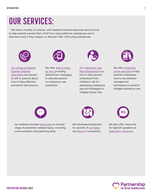### OUR SERVICES:

We have a number of science- and research-backed resources and services to help parents prevent their child from using addictive substances and to intervene early if they suspect or discover their child using substances.



Our bilingual English/ Spanish [Helpline](https://drugfree.org/article/get-one-on-one-help/) [specialists](https://drugfree.org/article/get-one-on-one-help/) are trained to talk to parents about how to have effective prevention discussions.



We offer [Help & Hope](https://drugfree.org/get-help-hope-by-text/) [by Text,](https://drugfree.org/get-help-hope-by-text/) providing tailored text messages to educate parents on substance use prevention.



Our [Substance Use](https://drugfree.org/substance-use-risk-assessment/) [Risk Assessment](https://drugfree.org/substance-use-risk-assessment/) is a tool to help parents understand their children's risk for developing substance use and strategies to mitigate those risks.



We offer [e-learning](https://drugfree.org/skill-building/) [online services](https://drugfree.org/skill-building/) to help parents understand how to use behavior management techniques to prevent/ mitigate substance use.



Our website provides [resources](https://drugfree.org/prevention-and-taking-action-early/) on a broad range of prevention-related topics, including communication and parenting skills.



We developed playbooks for parents of [pre-teens](https://drugfree.org/wp-content/uploads/2022/01/Parents-for-Tweens-Playbook-062821.pdf) and [teens](https://drugfree.org/wp-content/uploads/2022/01/Playbook-for-Parents-of-Teens-062821.pdf) on prevention.



We also offer resources for Spanish speakers at [Detectarlo Temprano](https://drugfree.org/recursos-en-espanol/prevencion-y-accion-temprana/).

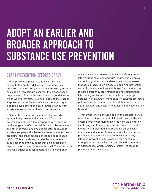### <span id="page-5-0"></span>ADOPT AN EARLIER AND BROADER APPROACH TO SUBSTANCE USE PREVENTION

#### START PREVENTION EFFORTS EARLY

Most prevention research and initiatives have concentrated on the adolescent years, when risk behaviors are most likely to manifest. However, research has made it increasingly clear that the broader social determinants of risk – the environmental conditions in which we live that affect our health across the lifespan – appear earlier in life and influence the trajectory of a child's development and path toward or away from substance use and other health risk behaviors.

One of the most powerful reasons for an earlier approach to prevention that accounts for social determinants of risk is the growing body of research on the long-term effects on adolescent substance use and other adverse outcomes of prenatal exposure to substances, parental substance misuse or mental health problems, and other adverse childhood experiences (ACEs).[3](#page-21-0) This work shows that risk factors present in adolescence often suggest that a child has been exposed to other risk factors in the past. Therefore, while targeting adolescent risk factors is a vital component

of substance use prevention, it is not sufficient, as such interventions must contend with lengthy and complex neurobiological and social developmental processes that have already taken place. By beginning prevention earlier in development, we can target foundational risk factors before they are entrenched and compounded. Intervening earlier and more broadly can interrupt potential risk pathways, move children towards protective pathways, and create a better foundation for substance use prevention and health promotion in adolescence and beyond.

Prevention efforts should begin in the prenatal period when the building blocks of child health and resilience emerge. Prevention during this stage should center on identifying and treating parental substance use and mental health disorders and providing parents with education and support to reinforce positive parenting practices once the child is born. Developmentallyinformed prevention efforts should then continue throughout the child's lifespan and should be reinforced in adolescence, which remains a critical life stage for preventing substance use.

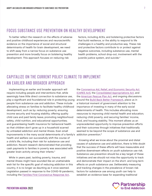#### <span id="page-6-0"></span>FOCUS SUBSTANCE USE PREVENTION ON HEALTHY DEVELOPMENT

To better reflect the research on the effects of adverse and positive childhood experiences and neuroscientific evidence on the importance of social and structural determinants of health for brain development, we need to shift away from a narrow focus on substance use prevention and more broadly focus on bolstering healthy development. This approach focuses on reducing risk

factors, including ACEs, and bolstering protective factors that build resilience, or the ability to respond to life challenges in a healthy and productive way. These risk and protective factors contribute to or protect against negative outcomes, including substance use, mental health problems, school drop-out, involvement with the juvenile justice system, and suicide.<sup>[4](#page-21-0)</sup>

#### CAPITALIZE ON THE CURRENT POLICY CLIMATE TO IMPLEMENT AN EARLIER AND BROADER APPROACH

Implementing an earlier and broader approach will require including people and interventions that, while seemingly have little direct connection to substance use, play a significant and foundational role in protecting young people from substance use and addiction. These include alleviating stress on families to facilitate healthy childhood development, such as by: reducing poverty; ensuring income security and housing stability; offering quality child care and paid family leave; promoting neighborhood safety, child nutrition, and educational opportunities; and guaranteeing health insurance for behavioral health so that children don't grow up in a household scarred by untreated addiction and mental illness. Even small improvements in the many social determinants of a family's addiction prevention.<sup>[6](#page-21-0)</sup> health and welfare can successfully shift the course of a child's life, including their risk for substance use and addiction. Recent research demonstrated that providing cash payments to families in poverty was associated with greater brain activity among their infants.<sup>[5](#page-21-0)</sup>

While in years past, tackling poverty, trauma, and mental illness might have sounded like an unattainable wish list for the specific goal of reducing addiction in this country, it is no longer as daunting as it once seemed. Legislation passed in response to the COVID-19 pandemic, including the [Families First Coronavirus Response Act,](https://www.kff.org/coronavirus-covid-19/issue-brief/the-families-first-coronavirus-response-act-summary-of-key-provisions/)

the [Coronavirus Aid, Relief, and Economic Security Act](https://www.kff.org/coronavirus-covid-19/issue-brief/the-coronavirus-aid-relief-and-economic-security-act-summary-of-key-health-provisions/)  [\(CARES Act\),](https://www.kff.org/coronavirus-covid-19/issue-brief/the-coronavirus-aid-relief-and-economic-security-act-summary-of-key-health-provisions/) the [Consolidated Appropriations Act](https://www.congress.gov/116/bills/hr133/BILLS-116hr133enr.pdf), and the [American Rescue Plan Act](https://www.whitehouse.gov/american-rescue-plan/), and ongoing discussions around the [Build Back Better Framework](https://www.whitehouse.gov/build-back-better/), place us in a historical moment of government attention to the importance of investing in many of the early social determinants of health. This includes allocating more resources to improving child mental health and education; reducing child poverty; and securing families' income, food, and housing stability. This moment allows us an unprecedented opportunity to improve prevention efforts and their outcomes through initiatives that traditionally seemed to be beyond the scope of substance use and

Knowing what we know about the proximal and distal causes of substance use and addiction, there is little doubt that the success of these efforts will have measurable and positive downstream effects on youth substance use risk. Substance use prevention should be a key target of these initiatives and we should not miss the opportunity to track and demonstrate their impact on the short- and long-term effects on youth substance use. Deliberately measuring and tracking changes in the prevalence of known risk factors for substance use among youth can help to establish an evidence base for expanding traditional

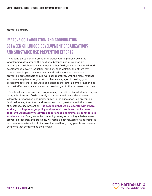prevention efforts.

#### IMPROVE COLLABORATION AND COORDINATION BETWEEN CHILDHOOD DEVELOPMENT ORGANIZATIONS AND SUBSTANCE USE PREVENTION EFFORTS

Adopting an earlier and broader approach will help break down the longstanding silos around the field of substance use prevention by encouraging collaboration with those in other fields, such as early childhood development, poverty reduction, nutrition, child welfare, and others that have a direct impact on youth health and resilience. Substance use prevention professionals should work collaboratively with the many national and community-based organizations that are engaged in healthy youth development to share resources and address the determinants of health and risk that affect substance use and a broad range of other adverse outcomes.

Due to silos in research and programming, a wealth of knowledge belonging to organizations and fields of study that specialize in early development is largely unrecognized and underutilized in the substance use prevention field; welcoming their tools and resources could greatly benefit the cause of substance use prevention. **It is essential that we collaborate with others working to mitigate larger policy and systemic problems that increase children's vulnerability to adverse experiences and ultimately contribute to substance use.** Doing so, while continuing to rely on existing substance use prevention research and practices, will forge a path forward for a coordinated and comprehensive effort to improve the health of young people and prevent behaviors that compromise their health.

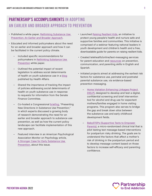#### PARTNERSHIP'S ACCOMPLISHMENTS IN ADOPTING AN EARLIER AND BROADER APPROACH TO PREVENTION

- Published a white paper, [Rethinking Substance Use](https://drugfree.org/reports/rethinking-substance-use-prevention-an-earlier-and-broader-approach/)  [Prevention: An Earlier and Broader Approach](https://drugfree.org/reports/rethinking-substance-use-prevention-an-earlier-and-broader-approach/).
- Educated and informed policymakers about the need for an earlier and broader approach and how it can be facilitated in the current policy climate.
	- Included specific recommendations for policymakers in [Rethinking Substance Use](https://drugfree.org/reports/rethinking-substance-use-prevention-an-earlier-and-broader-approach/)  [Prevention](https://drugfree.org/reports/rethinking-substance-use-prevention-an-earlier-and-broader-approach/) white paper.
	- Outlined the potential impact of recent legislation to address social determinants of health on youth substance use in a [blog](https://www.healthaffairs.org/do/10.1377/hblog20210607.239986/full/) published by Health Affairs.
	- Shared the importance of tracking the impact of policies addressing social determinants of health on youth substance use in response to requests for information from the Senate Finance Committee.
	- Co-hosted a Congressional [briefing,](https://www.youtube.com/watch?v=oK7zTdmZt9c) "Presenting New Directions in Substance Use Prevention," in which experts discussed a growing body of research demonstrating the need for an earlier and broader approach to substance use prevention, as well as how the current policy landscape can facilitate implementation of this new approach.
	- Featured interview in an American Psychological Association Monitor on Psychology article, [A Stronger Case for Early Substance Use](https://www.apa.org/monitor/2022/03/news-substance-use-prevention)  [Prevention](https://www.apa.org/monitor/2022/03/news-substance-use-prevention), about this issue.
- Launched [Raising Resilient Kids,](https://drugfree.org/resilientkids/) an initiative to protect young people's health and nurture safe and supportive families and communities. This initiative is comprised of a webinar featuring national leaders in youth development and children's health and a free, downloadable guide for parents on raising resilient kids.
- Created telehealth/online/text-messaging services for parent education and [resources](https://drugfree.org/prevention-and-taking-action-early/) on prevention, communication, and parenting skills in English and Spanish.
- Initiated projects aimed at addressing the earliest risk factors for substance use, perinatal and postnatal parental substance use, via evidence-based prevention messaging.
	- [Home Visitation Enhancing Linkages Project](https://drugfree.org/article/digital-screening-and-brief-intervention-for-substance-use-in-pregnant-and-postpartum-women/
)  [\(HELP\)](https://drugfree.org/article/digital-screening-and-brief-intervention-for-substance-use-in-pregnant-and-postpartum-women/
), designed to develop and test a digital, confidential screening and brief intervention tool for alcohol and drug use for expectant mothers/families engaged in home visiting programs. This program also serves to bridge the gap and break down silos between the substance use and early childhood development fields.
	- [BabySTEPs \(Supportive Texts to Empower](https://drugfree.org/babysteps/)  [Parents\),](https://drugfree.org/babysteps/) a micro-randomized clinical trial that is pilot testing text message-based interventions for postpartum risky drinking. The goals are to understand the factors that affect a mother's risk of drinking in the postpartum period and to develop message content based on those factors to increase self-efficacy and parenting confidence.

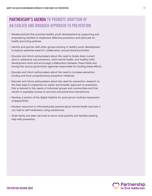#### PARTNERSHIP'S AGENDA TO PROMOTE ADOPTION OF AN EARLIER AND BROADER APPROACH TO PREVENTION

- Elevate policies that promote healthy youth development by supporting and empowering families to implement effective prevention and advocate for health-promoting policies.
- Identify and partner with other groups working in healthy youth development to explore potential areas for collaboration around shared priorities.
- Educate and inform policymakers about the need to break down current silos in substance use prevention, child mental health, and healthy child development work and encourage collaboration between these fields and among the various government agencies responsible for funding these efforts.
- Educate and inform policymakers about the need to increase prevention funding and fund comprehensive prevention initiatives.
- Educate and inform policymakers about the need for prevention research on the best ways to implement an earlier and broader approach to prevention that is tailored to the needs of individual groups and communities and that results in equitable access to services and preventive interventions.
- Develop a version of the digital helpline for post-partum mothers (expansion of BabySTEPs).
- Develop resources to inform/educate parents about mental health and how it can lead to self-medication using substances.
- Scale family and peer services to serve more parents and families seeking help with prevention.

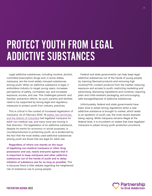### <span id="page-10-0"></span>PROTECT YOUTH FROM LEGAL ADDICTIVE SUBSTANCES

Legal addictive substances, including nicotine, alcohol, controlled prescription drugs and, in some states, marijuana, are the most widely misused substances among youth. When an addictive substance is legal, it emboldens industry to target young users, increases perceptions of safety, normalizes use, and increases exposure, access, and use. This challenges parents' and families' prevention efforts. As such, parents and families need to be supported by strong legal and regulatory measures to protect youth from industry practices.

This is critical in the context of increased legalization of marijuana. As of February 2022, 18 states, two [territories](https://www.ncsl.org/research/civil-and-criminal-justice/marijuana-overview.aspx), and the District of Columbia had legalized marijuana for adult non-medical use, and many more are moving in that direction. The legalization of an addictive substance, despite its merits for economic or social purposes, is counterproductive to protecting youth, as is evidenced by the fact that the most widely used addictive substances among youth are those that are legal for adult use.

**Regardless of where one stands on the issue of legalizing non-medical marijuana or other drug possession and use, nearly everyone agrees that it is important to keep marijuana and other addictive substances out of the hands of youth and to delay initiation of substance use for as long as possible.** This is because there is little debate regarding the heightened risk of substance use to young people.

Federal and state governments can help keep legal addictive substances out of the hands of young people by: banning flavored products and removing high nicotine/THC-content products from the market; reducing exposure and access to youth; restricting marketing and advertising; disclosing ingredients and contents; requiring plain and child-resistant packaging; and encouraging safe storage/disposal of addictive substances.

Unfortunately, federal and state governments have been slow to adopt strong regulations when a new addictive substance is brought to market, which leads to an epidemic of youth use, the most recent example being vaping. While marijuana remains illegal at the federal level, it is incumbent on states that have legalized marijuana to adopt strong youth protection provisions.



11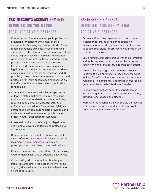### PARTNERSHIP'S ACCOMPLISHMENTS IN PROTECTING YOUTH FROM LEGAL ADDICTIVE SUBSTANCES

- Created a set of recommended youth protection provisions for states to implement in their current or forthcoming legalization efforts. These recommendations explicate which are: (1) wellsupported by the literature based on research from states' experiences with marijuana legalization, when available, as well as those related to youth protection within alcohol and tobacco laws; (2) supported when evidence from marijuana legalization is unavailable, but abundant evidence exists in relation to alcohol and tobacco; and (3) promising, based on available research on risk and protection for youth absent specific research on the effects of the laws themselves. [publication forthcoming]
- Conducted a comprehensive landscape review of laws in states that have legalized marijuana to document youth-related provisions, including required documentation, assessments, and enforcement procedures. This review highlights differences between current state provisions and evidence-based recommended provisions to protect youth. [publication forthcoming]
- Presented on the topic of marijuana legalization and youth at several academic and professional conferences.
- Created guides for parents, schools, and health care professionals on legal addictive substances, including: [alcohol](https://drugfree.org/drugs/alcohol/), [marijuana,](https://drugfree.org/article/marijuana-what-you-need-to-know/) [vaping](https://drugfree.org/drugs/e-cigarettes-vaping/), and [prescription and over-the-counter medications.](https://drugfree.org/article/medication-misuse-what-you-need-to-know-to-help-protect-children-teens-and-young-adults/)
- Educate parents about the importance of encouraging youth to delay initial use of addictive substances.
- Collaborating with the American Academy of Pediatrics and other organizations to inform the ongoing discussion around marijuana legalization on the federal level.

#### PARTNERSHIP'S AGENDA TO PROTECT YOUTH FROM LEGAL ADDICTIVE SUBSTANCES

- Partner with another organization to draft model legislation for states considering legalizing marijuana (or other drugs) to ensure that there are adequate provisions for protecting youth within the context of legalization.
- Equip families and communities with the information and tools they need to advocate for the protection of youth within their states' drug liberalization efforts.
- Create a landing page on Partnership's website to serve as a comprehensive resource for families looking for information, tools, and resources about marijuana. This effort has recently been awarded a grant from the Achelis & Bodman Foundation.
- Educate policymakers about the importance of incentivizing industry to restrict public advertising, drawing from tobacco and alcohol.
- Work with the American Cancer Society on research and advocacy efforts aimed at protecting youth from nicotine and marijuana products.

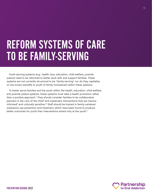### <span id="page-12-0"></span>REFORM SYSTEMS OF CARE TO BE FAMILY-SERVING

Youth-serving systems (e.g., health care, education, child welfare, juvenile justice) need to be reformed to better work with and support families. These systems are not currently structured to be "family-serving" nor do they capitalize on the known benefits to youth of family involvement within these systems.

To better serve families and the youth within the health, education, child welfare, and juvenile justice systems, these systems must take a health promotion rather than a punitive approach.<sup>[7](#page-21-0)</sup> They should consider families to be collaborative partners in the care of the child<sup>8</sup> and implement interventions that are traumainformed<sup>9</sup> and culturally sensitive.<sup>10</sup> Staff should be trained in family-centered substance use prevention and treatment, which have been found to produce better outcomes for youth than interventions aimed only at the youth.<sup>11</sup>



13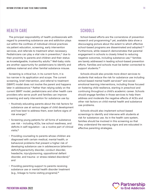#### <span id="page-13-0"></span>HEALTH CARE

The principal responsibility of health professionals with regard to preventing substance use and addiction plays out within the confines of individual clinical practices via patient education, screening, early intervention services, and referrals to treatment when necessary. Pediatricians can play a vital role in prevention,<sup>12</sup> due to their proximity to parents and children and their status as knowledgeable, trustworthy adults[.13](#page-21-0) Well-baby visits are another opportunity for pediatricians to identify and address maternal and other familial substance misuse.

Screening is critical but, in its current form, it is too narrow in its application and scope. The current screening, brief intervention, and referral to treatment (SBIRT) model does not involve the parent and happens later in adolescence.<sup>14</sup> Rather than relying solely on the current SBIRT model, pediatricians and other health care providers who serve youth and families can improve screening and early intervention for substance use by:

- Routinely educating parents about the risk factors for substance use at various stages of child development and how best to address them, even before signs of risk emerge;<sup>15</sup>
- Screening young patients for all forms of substance use risk – including ACEs, low school readiness, and deficits in self-regulation – as a routine part of clinical visits;<sup>[16](#page-22-0)</sup>
- Providing counseling to parents whose children are diagnosed with certain medical, mental health, or behavioral problems that present a higher risk of developing substance use in adolescence (attentiondeficit/hyperactivity disorder, conduct disorder, headache, injury/poisoning, oppositional defiant disorder, and trauma- or stress-related disorders);<sup>[17](#page-22-0)</sup> and
- Providing parenting support to parents receiving substance use or mental health disorder treatment (e.g., linkage to home visiting programs).[18](#page-22-0)

#### **SCHOOLS**

School-based efforts are the cornerstone of prevention research and programming;<sup>19</sup> yet, available data show a discouraging picture about the extent to which effective school-based programs are disseminated and adopted.<sup>[20](#page-22-0)</sup> Furthermore, while research demonstrates that parental engagement in schools is closely linked to reducing negative outcomes, including substance use,<sup>[21](#page-22-0)</sup> families are barely addressed in leading school-based prevention efforts. Families and schools must be better connected to support students.<sup>[22](#page-22-0)</sup>

Schools should also provide more direct services to students that reduce the risk for substance use including school-based mental health services<sup>23</sup> and socialemotional learning interventions, including those focused on fostering child resilience, starting in preschool and continuing throughout a child's academic career. Schools should engage families in those services to help them address and moderate the negative effects of ACEs and other risk factors on child mental health and substance use problems.

Schools should also implement school-based screenings to identify and intervene with students at risk for substance use. As in the health care system, families should be involved in this screening so that they understand the warning signs and are educated in effective parenting strategies.

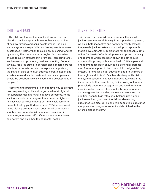#### <span id="page-14-0"></span>CHILD WELFARE

The child welfare system must shift away from its historical punitive approach to one that is supportive of healthy families and child development. The child welfare system is especially punitive to parents who use substances.<sup>24</sup> Rather than focusing on punishing families by marking them as abusive or neglectful, the system should focus on strengthening families, increasing family involvement and promoting positive parenting. Federal law now requires states to develop plans of safe care for infants with prenatal substance exposure. Importantly, the plans of safe care must address parental health and substance use disorder treatment needs, and parents should be collaboratively involved in the development of the plan.<sup>[25](#page-22-0)</sup>

Home visiting programs are an effective way to promote positive parenting skills and target families at high risk for substance use and other negative outcomes. Home visiting is a voluntary program that connects high-risk families with services that support the whole family to promote healthy youth development[.26](#page-22-0) Evidence-based home visiting programs have been found to improve a variety of parent and child outcomes, including birth outcomes, economic self-sufficiency, school readiness, and parent and child health and mental health.<sup>[27](#page-22-0)</sup>

#### JUVENILE JUSTICE

As is true for the child welfare system, the juvenile justice system must shift away from a punitive approach, which is both ineffective and harmful to youth. Instead, the juvenile justice system should adopt an approach that is developmentally appropriate for adolescents. One of the "hallmarks" of a developmental approach is family engagement, which has been shown to both reduce crime and improve youth mental health.<sup>28</sup> While parental engagement has been shown to be beneficial, parents are often unequipped to help their child navigate the system. Parents lack legal education and are unaware of their rights and duties.<sup>[29](#page-22-0)</sup> Families also frequently distrust the system based on negative interactions.[30](#page-22-0) Given the important role that parents play in improving outcomes, particularly treatment engagement and recidivism, the juvenile justice system should actively engage parents and caregivers by providing necessary resources.<sup>[31](#page-22-0)</sup> In addition, despite high rates of substance use among justice-involved youth and the risk for developing substance use disorder among this population, substance use prevention programs are not widely utilized in the juvenile justice system.[32](#page-22-0)

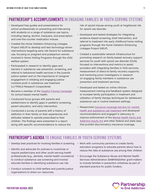#### PARTNERSHIP'S ACCOMPLISHMENTS IN ENGAGING FAMILIES IN YOUTH-SERVING SYSTEMS

- Developed free guides and presentations for school professionals on preventing and intervening with students on a range of substance use topics, including vaping, alcohol, marijuana, and prescription and over-the-counter medication misuse.
- Created the Home Visitation Enhancing Linkages Project (HELP) to develop and test technology-driven interventions targeting early risk factors for substance use, focusing on pregnant and postpartum women involved in Home Visiting Programs through the child welfare system.
- Participated in research to identify gaps and barriers in substance use prevention, screening, and referral to behavioral health services in the juvenile justice system and on the importance of caregiver engagement in initiating and engaging justiceinvolved youth in substance use treatment (JJ-TRIALS Research Cooperative).
- Became a member of the [Hopeful Futures Campaign](https://www.inseparable.us/hopeful-futures/policy/) for school-based mental health.
- Conducted focus groups with parents and pediatricians to identify gaps in pediatric screening, parent education, and early intervention.
- Conducted a survey of parents with a history of addiction in their family on their experiences and attitudes related to opioids prescribed to their children. The findings were presented in a report along with specific recommendations to reduce the

risk of opioid misuse among youth at heightened risk for opioid use disorder.

- Developed and tested strategies for integrating evidence-based screening, brief intervention, and referral to treatment into early childhood home visiting programs through the Home Visitation Enhancing Linkages Project (HELP).
- Created a sustainable network infrastructure for promoting research on family-based recovery support services for youth with opioid use disorder (OUD), focused on interventions and metrics to assist providers with integrating families in OUD services; measurement of direct-to-family recovery supports; and mentoring junior investigators in research on engaging family members in substance use prevention and treatment services.
- Developed and tested an online clinician measurement training and feedback system designed to increase family participation in treatment and utilization of family therapy techniques for adolescent substance use in routine treatment settings.
- Researched [insurance coverage barriers for mental](https://drugfree.org/insurance-barriers-to-mental-health-and-substance-use-care/)  [health and substance use treatment](https://drugfree.org/insurance-barriers-to-mental-health-and-substance-use-care/) and developed recommendations and engaged in advocacy to improve enforcement of the [Mental Health Parity and](https://drugfree.org/article/what-is-the-mental-health-parity-and-addiction-equity-act/)  [Addiction Equity Act](https://drugfree.org/article/what-is-the-mental-health-parity-and-addiction-equity-act/) and other federal and state laws that prohibit discriminatory insurance coverage.

#### PARTNERSHIP'S AGENDA TO ENGAGE FAMILIES IN YOUTH-SERVING SYSTEMS

- Develop best practices for involving families in screening. Work with community partners to create family
- Identify and advocate for policies to incentivize or require pediatricians and other youth-serving health professionals (e.g., dentists, mental health counselors) to conduct substance use screening and involve/ educate families in identifying substance use risk.
- Conduct outreach to child welfare and juvenile justice organizations to share our resources.
- education programs to educate parents about how to reduce the risks of substance use among their children.
- Encourage the Substance Abuse and Mental Health Services Administration (SAMHSA)/other grant-makers to include families in prevention initiatives as part of standard practice for public funders.

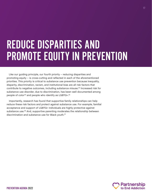### <span id="page-16-0"></span>REDUCE DISPARITIES AND PROMOTE EQUITY IN PREVENTION

Like our guiding principle, our fourth priority – reducing disparities and promoting equity – is cross-cutting and reflected in each of the aforementioned priorities. This priority is critical to substance use prevention because inequality, disparity, discrimination, racism, and institutional bias are all risk factors that contribute to negative outcomes, including substance misuse.[33](#page-22-0) Increased risk for substance use disorder, due to discrimination, has been well documented among people of color<sup>34</sup> and people who identify as LGBTQ+.<sup>[35](#page-22-0)</sup>

Importantly, research has found that supportive family relationships can help reduce these risk factors and protect against substance use. For example, familial acceptance and support of LGBTQ+ individuals are highly protective against substance use.<sup>[36](#page-22-0)</sup> And, supportive parenting moderates the relationship between discrimination and substance use for Black youth.<sup>[37](#page-22-0)</sup>

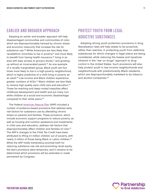#### <span id="page-17-0"></span>EARLIER AND BROADER APPROACH PROTECT YOUTH FROM LEGAL

Adopting an earlier and broader approach will help **ADDICTIVE SUBSTANCES** disadvantaged communities and communities of color, which are disproportionately harmed by chronic stress and economic insecurity that increase the risk for substance use.<sup>[38](#page-22-0)</sup> White Americans are less likely than racial/ethnic minorities to live in poverty<sup>39</sup> and more likely to benefit from having health insurance,<sup>40</sup> living in an area with easy access to grocery stores,<sup>41</sup> and growing up without an incarcerated parent.<sup>42</sup> As one example of a racially marginalized group, Black youth are four times more likely to live in a high-poverty neighborhood, which is highly predictive of a child living in poverty as an adult.[43](#page-23-0) Low-income and Black children experience greater numbers of ACEs.<sup>44</sup> Black children are less likely to receive high-quality early child care and education.<sup>[45](#page-23-0)</sup> These far-reaching and deep-rooted inequities affect childhood development and health and put many nonwhite children at a social and economic disadvantage compared to their white peers.[46](#page-23-0)

The Federal [American Rescue Plan](https://www.whitehouse.gov/american-rescue-plan/) (ARP) included a number of evidence-based provisions that address early risk factors for substance use by alleviating chronic stress on parents and families. These provisions, which include economic support programs to reduce poverty, as well as housing and nutrition assistance and investments in child care and education, address risk factors that disproportionately affect children and families of color.<sup>[47](#page-23-0)</sup> The ARP's changes to the Child Tax Credit have been attributed to lifting 4.1 million children out of poverty, with nearly 3 million of those being Black or Latino children.<sup>48</sup> While the ARP holds tremendous promise both for reducing substance use risk and promoting racial equity, the law's provisions were temporary, and it remains to be determined which provisions will be extended or made permanent by Congress.

Adopting strong youth protection provisions in drug liberalization laws will help states to be proactive, rather than reactive, in protecting youth from addictive substances for which changes in legal status are being considered, while reducing the biases and injustices inherent in the "war on drugs" approach to drug control in the United States. Such provisions will also help protect youth in low-income neighborhoods and neighborhoods with predominantly Black residents, which are disproportionately marketed to by tobacco and alcohol companies.[49](#page-23-0)

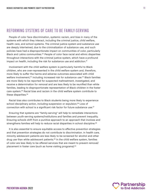#### <span id="page-18-0"></span>REFORMING SYSTEMS OF CARE TO BE FAMILY-SERVING

People of color face discrimination, systemic racism, and bias in many of the systems with which they interact, including the criminal justice, child welfare, health care, and school systems. The criminal justice system and substance use are deeply intertwined, due to the criminalization of substance use, and such policies have had a disproportionate impact on communities of color, particularly Black and Latino communities.<sup>[50](#page-23-0)</sup> People of color face racial and ethnic disparities throughout interactions with the criminal justice system, which have a profound impact on health, including the risk for substance use and addiction.<sup>51</sup>

Involvement with the child welfare system is particularly harmful to Black children, who are over-represented in the child welfare system and, therefore, more likely to suffer the harms and adverse outcomes associated with child welfare involvement,<sup>[52](#page-23-0)</sup> including increased risk for substance use.<sup>53</sup> Black families are more likely to be reported for suspected maltreatment, investigated, and receive a determination for removal and are less likely to be reunified than white families, leading to disproportionate representation of Black children in the foster care system.[54](#page-23-0) Racial bias and racism in the child welfare system contribute to these disparities.<sup>[55](#page-23-0)</sup>

Racial bias also contributes to Black students being more likely to experience school disciplinary action, including suspension or expulsion.<sup>56</sup> Loss of connection with school is a significant risk factor for future substance use.<sup>[57](#page-23-0)</sup>

Ensuring that systems are "family-serving" will help to remediate interactions between youth-serving systems/institutions and families and prevent inequality. Ensuring schools shift from a punitive approach to an approach that involves and strengthens families will help to reduce racial disparities in school discipline.<sup>[58](#page-23-0)</sup>

It is also essential to ensure equitable access to effective prevention strategies and that prevention strategies do not contribute to discrimination. In health care, minority adolescent patients are less likely to be screened for alcohol and other drug use than white adolescent patients.<sup>59</sup> In the child welfare system, families of color are less likely to be offered services that are meant to prevent removal/ placement in foster care (such as home visiting programs).<sup>[60](#page-23-0)</sup>

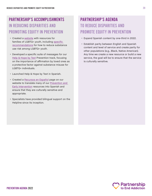#### PARTNERSHIP'S ACCOMPLISHMENTS IN REDUCING DISPARITIES AND PROMOTING EQUITY IN PREVENTION

- Created a [website](https://drugfree.org/how-to-protect-lgbtq-youth-from-the-risks-and-harm-of-substance-use/) with resources for families of LGBTQ+ youth, including [specific](https://drugfree.org/article/how-to-protect-your-lgbtq-child-from-the-risk-of-substance-use/)  [recommendations](https://drugfree.org/article/how-to-protect-your-lgbtq-child-from-the-risk-of-substance-use/) for how to reduce substance use risk among LGBTQ+ youth.
- Developed a specific suite of messages for our [Help & Hope by Text](https://drugfree.org/get-help-hope-by-text/) Prevention track, focusing on the importance of affirmation by loved ones as a protective factor against substance misuse for LGBTQ+ individuals.
- Launched Help & Hope by Text in Spanish.
- Created a [Recursos en Español](https://drugfree.org/recursos-en-espanol/) page on our website to translate many of our [Prevention and](https://drugfree.org/recursos-en-espanol/prevencion-y-accion-temprana/)  [Early Intervention](https://drugfree.org/recursos-en-espanol/prevencion-y-accion-temprana/) resources into Spanish and ensure that they are culturally sensitive and appropriate.
- Specialists have provided bilingual support on the Helpline since its inception.

### PARTNERSHIP'S AGENDA TO REDUCE DISPARITIES AND PROMOTE EQUITY IN PREVENTION

- Expand Spanish content by one-third in 2022.
- Establish parity between English and Spanish content and level of service and create parity for other populations (e.g., Black, Native American). Any time we create a new resource or build a new service, the goal will be to ensure that the service is culturally sensitive.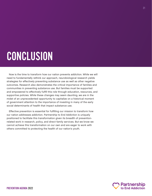## <span id="page-20-0"></span>CONCLUSION

Now is the time to transform how our nation prevents addiction. While we will need to fundamentally rethink our approach, neurobiological research yields strategies for effectively preventing substance use as well as other negative outcomes. Research also demonstrates the critical importance of families and communities in preventing substance use. But families must be supported and empowered to effectively fulfill this role through education, resources, and supportive policies. While these changes may seem daunting, we are in the midst of an unprecedented opportunity to capitalize on a historical moment of government attention to the importance of investing in many of the early social determinants of health that impact substance use.

Effective prevention is essential for fulfilling our mission to transform how our nation addresses addiction. Partnership to End Addiction is uniquely positioned to facilitate this transformation given its breadth of preventionrelated work in research, policy, and direct family services. But we know we cannot achieve this transformation on our own and are eager to work with others committed to protecting the health of our nation's youth.

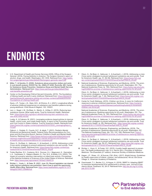### <span id="page-21-0"></span>ENDNOTES

- **[1](#page-2-0)** U.S. Department of Health and Human Services (HHS), Office of the Surgeon General. (2016). *Facing Addiction in America*: *The Surgeon General's report on alcohol, drugs, and health*. Washington, DC: HHS. Retrieved from: [https://addic](https://addiction.surgeongeneral.gov/sites/default/files/surgeon-generals-report.pdf)[tion.surgeongeneral.gov/sites/default/files/surgeon-generals-report.pdf](https://addiction.surgeongeneral.gov/sites/default/files/surgeon-generals-report.pdf)
- [2](#page-2-0) Miller, T., & Hendrie, D. (2008). Substance abuse prevention dollars and cents:<br>A cost-benefit analysis, DHHS Pub. No. (SMA) 07-4298. Rockville, MD: Center<br>for Substance Abuse Prevention, Substance Abuse and Mental Healt Administration. Retrieved from: [https://www.samhsa.gov/sites/default/files/](https://www.samhsa.gov/sites/default/files/cost-benefits-prevention.pdf) [cost-benefits-prevention.pdf](https://www.samhsa.gov/sites/default/files/cost-benefits-prevention.pdf)
- **[3](#page-5-0)** Center on the Developing Child at Harvard University. (2010). *The foundations of lifelong health are built in early childhood*. Retrieved from: [https://46y5eh11f](https://46y5eh11fhgw3ve3ytpwxt9r-wpengine.netdna-ssl.com/wp-content/uploads/2010/05/Foundations-of-Lifelong-Health.pdf)[hgw3ve3ytpwxt9r-wpengine.netdna-ssl.com/wp-content/uploads/2010/05/](https://46y5eh11fhgw3ve3ytpwxt9r-wpengine.netdna-ssl.com/wp-content/uploads/2010/05/Foundations-of-Lifelong-Health.pdf) [Foundations-of-Lifelong-Health.pdf](https://46y5eh11fhgw3ve3ytpwxt9r-wpengine.netdna-ssl.com/wp-content/uploads/2010/05/Foundations-of-Lifelong-Health.pdf)

Davis, J.P., Tucker, J.S., Stein, B.D., & D'Amico, E.J. (2021). Longitudinal effects of adverse childhood experiences on substance use transition patterns during young adulthood. *Child Abuse & Neglect, 120*, 105201.

**[4](#page-6-0)** Levi, J., Segal, L.M., De Biasi, A., Martin, A., & May, K. (2015). *Reducing teen substance misuse: What really works*. Trust for America's Health*.* Retrieved from: [https://www.tfah.org/report-details/reducing-teen-substance-mis](https://www.tfah.org/report-details/reducing-teen-substance-misuse-what-really-works/)[use-what-really-works/](https://www.tfah.org/report-details/reducing-teen-substance-misuse-what-really-works/)

Lustig, A., & Cabrera, M. (2021). *Leveraging evidence-based policies to improve health, control costs, and create health equity: A report of the Promoting Health and Cost Control in States Initiative*. Trust for America's Health. Retrieved from: [https://www.tfah.org/wp-content/uploads/2021/07/2021\\_LeveragingReport\\_](https://www.tfah.org/wp-content/uploads/2021/07/2021_LeveragingReport_Fnl.pdf) [Fnl.pdf](https://www.tfah.org/wp-content/uploads/2021/07/2021_LeveragingReport_Fnl.pdf)

Ogburn, J., Gratale, D., Counts, N.Z., & Jakab, T. (2021). *Pediatric Mental, Emotional and Behavioral Health: Federal Policy Recommendations for Congress and the Executive Branch*. Nemour Children's Health and Mental Health America. Retrieved from: [https://www.nemours.org/content/dam/nemours/](https://www.nemours.org/content/dam/nemours/nemours-org/en/documents/pediatric-mental-emotional-and-behavioral-health-policy-recommendations-for-congress.pdf) [nemours-org/en/documents/pediatric-mental-emotional-and-behavior](https://www.nemours.org/content/dam/nemours/nemours-org/en/documents/pediatric-mental-emotional-and-behavioral-health-policy-recommendations-for-congress.pdf)[al-health-policy-recommendations-for-congress.pdf](https://www.nemours.org/content/dam/nemours/nemours-org/en/documents/pediatric-mental-emotional-and-behavioral-health-policy-recommendations-for-congress.pdf)

Olson, G., De Biasi, A., Ilakkuvan, V., & Auerbach, J. (2019). *Addressing a crisis: Cross-sector strategies to prevent adolescent substance use and suicide*. Trust for America's Health. Retrieved from: [https://www.tfah.org/wp-content/up](https://www.tfah.org/wp-content/uploads/2019/11/TFAH2019TeensPainRptFINAL10_24.pdf)[loads/2019/11/TFAH2019TeensPainRptFINAL10\\_24.pdf](https://www.tfah.org/wp-content/uploads/2019/11/TFAH2019TeensPainRptFINAL10_24.pdf)

- **[5](#page-6-0)** Troller-Renfree, S.V., Costanzo, M.A., Duncan, G.J., Magnuson, K., Gennetian, L.A., Yoshikawa, H., Halpern-Meekin, S., Fox, N.A., & Noble, K.G. (2022). The impact of a poverty reduction intervention on infant brain activity*. Proceedings of the National Academy of Sciences of the United States of America*. Retrieved from: <https://www.pnas.org/content/119/5/e2115649119>
- **[6](#page-6-0)** Richter, L., Vuolo, L., & Oster, R. (2021, June 10). Recent legislation can dramatically improve substance use prevention: Here's how to seize the opportunity. *Health Affairs Blog.* Retrieved from: [https://www.healthaffairs.org/do/10.1377/](https://www.healthaffairs.org/do/10.1377/hblog20210607.239986/full/) [hblog20210607.239986/full/](https://www.healthaffairs.org/do/10.1377/hblog20210607.239986/full/)
- **[7](#page-12-0)** Olson, G., De Biasi, A., Ilakkuvan, V., & Auerbach, J. (2019). *Addressing a crisis: Cross-sector strategies to prevent adolescent substance use and suicide*. Trust for America's Health. (pp. 31, 58-59). Retrieved from: [https://www.tfah.org/](https://www.tfah.org/wp-content/uploads/2019/11/TFAH2019TeensPainRptFINAL10_24.pdf) [wp-content/uploads/2019/11/TFAH2019TeensPainRptFINAL10\\_24.pdf](https://www.tfah.org/wp-content/uploads/2019/11/TFAH2019TeensPainRptFINAL10_24.pdf)
- **[8](#page-12-0)** National Academies of Sciences, Engineering, and Medicine. (2019). *The promise of adolescence: Realizing opportunity for all youth*. Washington, DC: The National Academies Press. (p. 150). Retrieved from: [https://www.nap.edu/cata](https://www.nap.edu/catalog/25388/the-promise-of-adolescence-realizing-opportunity-for-all-youth)[log/25388/the-promise-of-adolescence-realizing-opportunity-for-all-youth](https://www.nap.edu/catalog/25388/the-promise-of-adolescence-realizing-opportunity-for-all-youth)

Olson, G., De Biasi, A., Ilakkuvan, V., & Auerbach, J. (2019). *Addressing a crisis: Cross-sector strategies to prevent adolescent substance use and suicide*. Trust for America's Health. (pp. 7, 24). Retrieved from: [https://www.tfah.org/wp-con-](https://www.tfah.org/wp-content/uploads/2019/11/TFAH2019TeensPainRptFINAL10_24.pdf)[tent/uploads/2019/11/TFAH2019TeensPainRptFINAL10\\_24.pdf](https://www.tfah.org/wp-content/uploads/2019/11/TFAH2019TeensPainRptFINAL10_24.pdf)

**[9](#page-12-0)** Center for Youth Wellness. (2015). *Children can thrive: A vision for California's response to adverse childhood experience*s. Retrieved from: [https://centerfo](https://centerforyouthwellness.org/wp-content/themes/cyw/build/img/building-a-movement/children-can-thrive.pdf)[ryouthwellness.org/wp-content/themes/cyw/build/img/building-a-movement/](https://centerforyouthwellness.org/wp-content/themes/cyw/build/img/building-a-movement/children-can-thrive.pdf) [children-can-thrive.pdf](https://centerforyouthwellness.org/wp-content/themes/cyw/build/img/building-a-movement/children-can-thrive.pdf)

National Academies of Sciences, Engineering, and Medicine. (2019). *The promise of adolescence: Realizing opportunity for all youth*. Washington, DC: The National Academies Press. (p. 140). Retrieved from: [https://www.nap.edu/cata](https://www.nap.edu/catalog/25388/the-promise-of-adolescence-realizing-opportunity-for-all-youth)[log/25388/the-promise-of-adolescence-realizing-opportunity-for-all-youth](https://www.nap.edu/catalog/25388/the-promise-of-adolescence-realizing-opportunity-for-all-youth)

Olson, G., De Biasi, A., Ilakkuvan, V., & Auerbach, J. (2019). *Addressing a crisis: Cross-sector strategies to prevent adolescent substance use and suicide*. Trust for America's Health. (p. 59). Retrieved from: [https://www.tfah.org/wp-content/](https://www.tfah.org/wp-content/uploads/2019/11/TFAH2019TeensPainRptFINAL10_24.pdf) [uploads/2019/11/TFAH2019TeensPainRptFINAL10\\_24.pdf](https://www.tfah.org/wp-content/uploads/2019/11/TFAH2019TeensPainRptFINAL10_24.pdf)

- **[10](#page-12-0)** National Academies of Sciences, Engineering, and Medicine. (2019). *The promise of adolescence: Realizing opportunity for all youth.* Washington, DC:<br>The National Academies Press. (pp. 123, 133, 158). Retrieved from: <u>[https://](https://www.nap.edu/catalog/25388/the-promise-of-adolescence-realizing-opportunity-for-all-youth)</u> [www.nap.edu/catalog/25388/the-promise-of-adolescence-realizing-opportu](https://www.nap.edu/catalog/25388/the-promise-of-adolescence-realizing-opportunity-for-all-youth)[nity-for-all-youth](https://www.nap.edu/catalog/25388/the-promise-of-adolescence-realizing-opportunity-for-all-youth)
- **[11](#page-12-0)** Olson, G., De Biasi, A., Ilakkuvan, V., & Auerbach, J. (2019). *Addressing a crisis: Cross-sector strategies to prevent adolescent substance use and suicide*. Trust for America's Health. (pp. 56-57). Retrieved from: [https://www.tfah.org/wp-con](https://www.tfah.org/wp-content/uploads/2019/11/TFAH2019TeensPainRptFINAL10_24.pdf)[tent/uploads/2019/11/TFAH2019TeensPainRptFINAL10\\_24.pdf](https://www.tfah.org/wp-content/uploads/2019/11/TFAH2019TeensPainRptFINAL10_24.pdf)
- **[12](#page-13-0)** Richter, L., Kunz, K., & Foster, S.E. (2015). A public health approach to prevention: The health professional's role. In A. Herron (Ed.), *Principles of Addiction Medicine: The Essentials (2nd edition).* American Society of Addiction Medicine.
- **[13](#page-13-0)** Hagan, J.F., Shaw, J.S., & Duncan, P.M. (Eds.). (2017). *Bright futures: Guidelines for health supervision of infants, children, and adolescents*. 4th ed. Elk Grove Village, IL: American Academy of Pediatrics.
- **[14](#page-13-0)** Ozechowski, T.J., Becker, S.J., & Hogue, A. (2016). SBIRT-A: Adapting SBIRT to maximize developmental fit for adolescents in primary care. *Journal of Substance Abuse Treatment, 62,* 28-37. Retrieved from: [http://dx.doi.org/10.1016/j.](http://dx.doi.org/10.1016/j.jsat.2015.10.006) [jsat.2015.10.006](http://dx.doi.org/10.1016/j.jsat.2015.10.006)

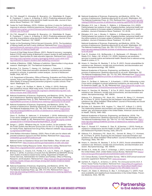- <span id="page-22-0"></span>**[15](#page-13-0)** Chi, F.W., Alexeeff, S., Ahmedani, B., Boscarino, J.A., Waitzfelder, B., Dugan, R., Frankland, T., Loree, A., & Sterling, S. (2021). Predicting adolescent alcohol and other drug problems using electronic health records data. *Journal of Substance Abuse Treatment*, *132*, 108487.
- **[16](#page-13-0)** Center for Youth Wellness. (2015). *Children can thrive: A vision for California's response to adverse childhood experience*s. Retrieved from: [https://centerfory](https://centerforyouthwellness.org/wp-content/themes/cyw/build/img/building-a-movement/children-can-thrive.pdf)[outhwellness.org/wp-content/themes/cyw/build/img/building-a-movement/](https://centerforyouthwellness.org/wp-content/themes/cyw/build/img/building-a-movement/children-can-thrive.pdf) [children-can-thrive.pdf](https://centerforyouthwellness.org/wp-content/themes/cyw/build/img/building-a-movement/children-can-thrive.pdf)
- **[17](#page-13-0)** Chi, F.W., Alexeeff, S., Ahmedani, B., Boscarino, J.A., Waitzfelder, B., Dugan, R., Frankland, T., Loree, A., & Sterling, S. (2021). Predicting adolescent alcohol and other drug problems using electronic health records data. *Journal of Substance Abuse Treatment*, *132*, 108487.
- **[18](#page-13-0)** Center on the Developing Child at Harvard University. (2010). *The foundations of lifelong health are built in early childhood*. Retrieved from: [https://46y5eh11f](https://46y5eh11fhgw3ve3ytpwxt9r-wpengine.netdna-ssl.com/wp-content/uploads/2010/05/Foundations-of-Lifelong-Health.pdf)[hgw3ve3ytpwxt9r-wpengine.netdna-ssl.com/wp-content/uploads/2010/05/](https://46y5eh11fhgw3ve3ytpwxt9r-wpengine.netdna-ssl.com/wp-content/uploads/2010/05/Foundations-of-Lifelong-Health.pdf) [Foundations-of-Lifelong-Health.pdf](https://46y5eh11fhgw3ve3ytpwxt9r-wpengine.netdna-ssl.com/wp-content/uploads/2010/05/Foundations-of-Lifelong-Health.pdf)

Council of Chief State School Officers. (2021). *Restart & recovery: Leveraging federal COVID relief funding & Medicaid to support student & staff wellbeing & connection: Opportunities for state education agencies.* Retrieved from: [https://](https://learning.ccsso.org/restart-recovery-leveraging-federal-covid-relief-funding-medicaid-to-support-student-staff-wellbeing-connection) [learning.ccsso.org/restart-recovery-leveraging-federal-covid-relief-fund](https://learning.ccsso.org/restart-recovery-leveraging-federal-covid-relief-funding-medicaid-to-support-student-staff-wellbeing-connection)[ing-medicaid-to-support-student-staff-wellbeing-connection](https://learning.ccsso.org/restart-recovery-leveraging-federal-covid-relief-funding-medicaid-to-support-student-staff-wellbeing-connection)

- **[19](#page-13-0)** Institute of Medicine. (1996). *Pathways of addiction: Opportunities in drug abuse research*. Washington, DC: The National Academies Press.
- **[20](#page-13-0)** Bruckner, T.A., Domina, T., Hwang, J.K., Gerlinger, J., Carpenter, C., & Wakefield, S. (2014). State-level education standards for substance use prevention programs in schools: A systematic content analysis. *Journal of Adolescent Health*, *54*(4), 467-473.

U.S. Department of Education, Office of Planning, Evaluation and Policy Development, Policy and Program Studies Service. (2011). *Prevalence and implementation fidelity of research-based prevention programs in public schools: Final report.* Washington, D.C.

- **[21](#page-13-0)** Levi, J., Segal, L.M., De Biasi, A., Martin, A., & May, K. (2015). *Reducing teen substance misuse: What really works*. Trust for America's Health. (p. 34). Retrieved from: [https://www.tfah.org/report-details/reducing-teen-sub](https://www.tfah.org/report-details/reducing-teen-substance-misuse-what-really-works/)[stance-misuse-what-really-works/](https://www.tfah.org/report-details/reducing-teen-substance-misuse-what-really-works/)
- **[22](#page-13-0)** National Academies of Sciences, Engineering, and Medicine. (2019). *The promise of adolescence: Realizing opportunity for all youth*. Washington, DC: The National Academies Press. (p. 200). Retrieved from: [https://www.nap.edu/cata](https://www.nap.edu/catalog/25388/the-promise-of-adolescence-realizing-opportunity-for-all-youth)[log/25388/the-promise-of-adolescence-realizing-opportunity-for-all-youth](https://www.nap.edu/catalog/25388/the-promise-of-adolescence-realizing-opportunity-for-all-youth)
- **[23](#page-13-0)** National Academies of Sciences, Engineering, and Medicine. (2019). *The promise of adolescence: Realizing opportunity for all youth*. Washington, DC:<br>The National Academies Press. (pp. 189, 234). Retrieved from: <u>[https://www.](https://www.nap.edu/catalog/25388/the-promise-of-adolescence-realizing-opportunity-for-all-youth)</u> [nap.edu/catalog/25388/the-promise-of-adolescence-realizing-opportuni](https://www.nap.edu/catalog/25388/the-promise-of-adolescence-realizing-opportunity-for-all-youth)[ty-for-all-youth](https://www.nap.edu/catalog/25388/the-promise-of-adolescence-realizing-opportunity-for-all-youth)

Olson, G., De Biasi, A., Ilakkuvan, V., & Auerbach, J. (2019). *Addressing a crisis: Cross-sector strategies to prevent adolescent substance use and suicide*. Trust for America's Health. (p. 46). Retrieved from: [https://www.tfah.org/wp-content/](https://www.tfah.org/wp-content/uploads/2019/11/TFAH2019TeensPainRptFINAL10_24.pdf) [uploads/2019/11/TFAH2019TeensPainRptFINAL10\\_24.pdf](https://www.tfah.org/wp-content/uploads/2019/11/TFAH2019TeensPainRptFINAL10_24.pdf)

- **[24](#page-14-0)** Sangoi, L. (2020). "*Whatever they do, I'm her comfort, I'm her protector": How the Foster System Has Become Ground Zero for the U.S. Drug War*. Movement for Family Power. Retrieved from Drug Policy Alliance's website: [https://drugpoli](https://drugpolicy.org/resource/MFPreport)[cy.org/resource/MFPreport](https://drugpolicy.org/resource/MFPreport)
- **[25](#page-14-0)** Child Welfare Information Gateway. (2020). *Plans of safe care for infants with prenatal substance exposure and their families*. Retrieved from: [https://www.](https://www.childwelfare.gov/pubPDFs/safecare.pdf) [childwelfare.gov/pubPDFs/safecare.pdf](https://www.childwelfare.gov/pubPDFs/safecare.pdf)

National Center on Substance Abuse and Child Welfare. *Plans of safe care*. Retrieved from:<https://ncsacw.samhsa.gov/topics/plans-of-safe-care.aspx>

- **[26](#page-14-0)** National Home Visiting Resource Center. *About home visiting*. Retrieved from: <https://nhvrc.org/yearbook/2021-yearbook/about-home-visiting/>
- **[27](#page-14-0)** Michalopoulos, C., Crowne, S.S., Portilla, X.A., Lee, H., Filene, J.H., Duggan, A., & Knox, V. (2019). *A summary of results from the MIHOPE and MIHOPE-Strong Start studies of evidence-based home visiting.* Department of Health and Human Services, Administration for Children and Families, Office of Planning, Research, and Evaluation. Retrieved from: [https://www.acf.hhs.gov/opre/report/](https://www.acf.hhs.gov/opre/report/summary-results-mihope-and-mihope-strong-start-studies-evidence-based-home-visiting) [summary-results-mihope-and-mihope-strong-start-studies-evidence-based](https://www.acf.hhs.gov/opre/report/summary-results-mihope-and-mihope-strong-start-studies-evidence-based-home-visiting)[home-visiting](https://www.acf.hhs.gov/opre/report/summary-results-mihope-and-mihope-strong-start-studies-evidence-based-home-visiting)
- **[28](#page-14-0)** National Academies of Sciences, Engineering, and Medicine. (2019). *The promise of adolescence: Realizing opportunity for all youth*. Washington, DC: The National Academies Press. (pp. 299, 313-315). Retrieved from: [https://](https://www.nap.edu/catalog/25388/the-promise-of-adolescence-realizing-opportunity-for-all-youth) [www.nap.edu/catalog/25388/the-promise-of-adolescence-realizing-opportuni](https://www.nap.edu/catalog/25388/the-promise-of-adolescence-realizing-opportunity-for-all-youth)[ty-for-all-youth](https://www.nap.edu/catalog/25388/the-promise-of-adolescence-realizing-opportunity-for-all-youth)
- **[29](#page-14-0)** National Academies of Sciences, Engineering, and Medicine. (2019). *The promise of adolescence: Realizing opportunity for all youth*. Washington, DC: The National Academies Press. (p. 314). Retrieved from: [https://www.nap.edu/](https://www.nap.edu/catalog/25388/the-promise-of-adolescence-realizing-opportunity-for-all-youth) [catalog/25388/the-promise-of-adolescence-realizing-opportunity-for-all-youth](https://www.nap.edu/catalog/25388/the-promise-of-adolescence-realizing-opportunity-for-all-youth)
- **[30](#page-14-0)** Elkington, K.S., Lee, J., Brooks, C., Watkins, J., & Wasserman, G.A. (2020). Failing between two systems of care: Engaging families, behavioral health and the justice systems to increase uptake of substance use treatment in youth on probation. *Journal of Substance Abuse Treatment,* 112, 49-59.
- **[31](#page-14-0)** Elkington, K.S., Lee, J., Brooks, C., Watkins, J., & Wasserman, G.A. (2020). Failing between two systems of care: Engaging families, behavioral health and the justice systems to increase uptake of substance use treatment in youth on probation. *Journal of Substance Abuse Treatment, 112,* 49-59.

National Academies of Sciences, Engineering, and Medicine. (2019). *The promise of adolescence: Realizing opportunity for all youth*. Washington, DC: The National Academies Press. (pp. 299, 313-315). Retrieved from: [https://](https://www.nap.edu/catalog/25388/the-promise-of-adolescence-realizing-opportunity-for-all-youth) [www.nap.edu/catalog/25388/the-promise-of-adolescence-realizing-opportuni](https://www.nap.edu/catalog/25388/the-promise-of-adolescence-realizing-opportunity-for-all-youth)[ty-for-all-youth](https://www.nap.edu/catalog/25388/the-promise-of-adolescence-realizing-opportunity-for-all-youth)

- **[32](#page-14-0)** Funk, R., Knudsen, H.K., McReynolds, L.S., Bartkowski, J.P., Elkington, K.S., Steele, E.H., Sales, J.M., & Scott, C.K. (2020). Substance use prevention services in juvenile justice and behavioral health: Results from a national survey. *Health & Justice*, *8*, 11.
- **[33](#page-16-0)** Amaro, H., Sanchez, M., Bautista, T., & Cox, R. (2021). Social vulnerabilities for substance use: Stressors, socially toxic environments, and discrimination and racism. *Neuropharmacology, 188*, 108518.

National Academies of Sciences, Engineering, and Medicine. (2019). *The promise of adolescence: Realizing opportunity for all youth.* Washington, DC:<br>The National Academies Press. (pp. 131-132, 265). Retrieved from: <u>[https://www.](https://www.nap.edu/catalog/25388/the-promise-of-adolescence-realizing-opportunity-for-all-youth)</u> [nap.edu/catalog/25388/the-promise-of-adolescence-realizing-opportuni](https://www.nap.edu/catalog/25388/the-promise-of-adolescence-realizing-opportunity-for-all-youth)[ty-for-all-youth](https://www.nap.edu/catalog/25388/the-promise-of-adolescence-realizing-opportunity-for-all-youth)

Olson, G., De Biasi, A., Ilakkuvan, V., & Auerbach, J. (2019). *Addressing a crisis: Cross-sector strategies to prevent adolescent substance use and suicide*. Trust for America's Health. (pp. 16, 38). Retrieved from: [https://www.tfah.org/wp-con](https://www.tfah.org/wp-content/uploads/2019/11/TFAH2019TeensPainRptFINAL10_24.pdf)[tent/uploads/2019/11/TFAH2019TeensPainRptFINAL10\\_24.pdf](https://www.tfah.org/wp-content/uploads/2019/11/TFAH2019TeensPainRptFINAL10_24.pdf)

**[34](#page-16-0)** Amaro, H., Sanchez, M., Bautista, T., & Cox, R. (2021). Social vulnerabilities for substance use: Stressors, socially toxic environments, and discrimination and racism. *Neuropharmacology, 188*, 108518.

Gibbons, F.X., Etcheverry, P.E., Stock, M.L., Gerrard, M., Weng, C.Y., Kiviniemi, M., & O'Hara, R. (2010). Exploring the link between racial discrimination and substance use: What mediates? What buffers? *Journal of Personality and Social Psychology*, *99*(5), 785–801.

**[35](#page-16-0)** McCabe, S.E., Bostwick, W.B., Hughes, T.L., West, B.T., & Boyd, C.J. (2010). The relationship between discrimination and substance use disorders among lesbian, gay, and bisexual adults in the United States. *American Journal of Public Health*, *100*(10), 1946–1952.

National Academies of Sciences, Engineering, and Medicine. (2019). *The promise of adolescence: Realizing opportunity for all youth*. Washington, DC: The National Academies Press. (pp. 109-110, 131-132). Retrieved from: [https://](https://www.nap.edu/catalog/25388/the-promise-of-adolescence-realizing-opportunity-for-all-youth) [www.nap.edu/catalog/25388/the-promise-of-adolescence-realizing-opportuni](https://www.nap.edu/catalog/25388/the-promise-of-adolescence-realizing-opportunity-for-all-youth)[ty-for-all-youth](https://www.nap.edu/catalog/25388/the-promise-of-adolescence-realizing-opportunity-for-all-youth)

- **[36](#page-16-0)** Ryan, C., Russell, S.T., Huebner, D., Diaz, R., & Sanchez, J. (2010). Family acceptance in adolescence and the health of LGBT young adults. *Journal of Child and Adolescent Psychiatric Nursing,* 23(4), 205-213.
- **[37](#page-16-0)** Gibbons, F.X., Etcheverry, P.E., Stock, M.L., Gerrard, M., Weng, C.Y., Kiviniemi, M., & O'Hara, R. (2010). Exploring the link between racial discrimination and substance use: What mediates? What buffers? *Journal of Personality and Social Psychology*, *99*(5), 785–801.
- **[38](#page-17-0)** Amaro, H., Sanchez, M., Bautista, T., & Cox, R. (2021). Social vulnerabilities for substance use: Stressors, socially toxic environments, and discrimination and racism. *Neuropharmacology, 188*, 108518.
- **[39](#page-17-0)** Shrider, E.A., Kollar, M., Chen, F., & Semega, J. (2021). Income and Poverty in the United States: 2020. *United States Census Bureau.* Retrieved from [https://](https://www.census.gov/library/publications/2021/demo/p60-273.html) [www.census.gov/library/publications/2021/demo/p60-273.html](https://www.census.gov/library/publications/2021/demo/p60-273.html)

U.S. Census Bureau, Current Population Survey. *1960 to 2020 annual social and economic supplement*. Retrieved from: [www.census.gov](http://www.census.gov)

- **[40](#page-17-0)** Garfield, R., Orgera, K., & Damico, A. (2019). *The Uninsured and the ACA: A Primer.* Kaiser Family Foundation. Retrieved from: [https://files.kff.org/attach](https://files.kff.org/attachment/The-Uninsured-and-the-ACA-A-Primer-Key-Facts-about-Health-Insurance-and-the-Uninsured-amidst-Changes-to-the-Affordable-Care-Act)[ment/The-Uninsured-and-the-ACA-A-Primer-Key-Facts-about-Health-Insur](https://files.kff.org/attachment/The-Uninsured-and-the-ACA-A-Primer-Key-Facts-about-Health-Insurance-and-the-Uninsured-amidst-Changes-to-the-Affordable-Care-Act)[ance-and-the-Uninsured-amidst-Changes-to-the-Affordable-Care-Act](https://files.kff.org/attachment/The-Uninsured-and-the-ACA-A-Primer-Key-Facts-about-Health-Insurance-and-the-Uninsured-amidst-Changes-to-the-Affordable-Care-Act)
- **[41](#page-17-0)** Powell, L.M., Slater, S., Mirtcheva, D., Bao, Y., & Chaloupka, F.J. (2007). Food store availability and neighborhood characteristics in the United States. *Preventive Medicine, 44*(3), 189-195.

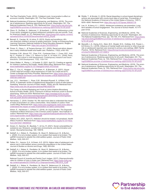- <span id="page-23-0"></span>**[42](#page-17-0)** The Pew Charitable Trusts. (2010). *Collateral costs: Incarceration's effect on economic mobility*. Washington, DC: The Pew Charitable Trusts.
- **[43](#page-17-0)** National Academies of Sciences, Engineering, and Medicine. (2019). *The promise of adolescence: Realizing opportunity for all youth*. Washington, DC: The National Academies Press (p. 120). Retrieved from: [https://www.nap.edu/cata](https://www.nap.edu/catalog/25388/the-promise-of-adolescence-realizing-opportunity-for-all-youth)[log/25388/the-promise-of-adolescence-realizing-opportunity-for-all-youth](https://www.nap.edu/catalog/25388/the-promise-of-adolescence-realizing-opportunity-for-all-youth)
- **[44](#page-17-0)** Olson, G., De Biasi, A., Ilakkuvan, V., & Auerbach, J. (2019). *Addressing a crisis: Cross-sector strategies to prevent adolescent substance use and suicide*. Trust for America's Health. (p. 37). Retrieved from: [https://www.tfah.org/wp-content/](https://www.tfah.org/wp-content/uploads/2019/11/TFAH2019TeensPainRptFINAL10_24.pdf) [uploads/2019/11/TFAH2019TeensPainRptFINAL10\\_24.pdf](https://www.tfah.org/wp-content/uploads/2019/11/TFAH2019TeensPainRptFINAL10_24.pdf)
- **[45](#page-17-0)** Barnett, S., Carolan, M., & Johns, D. (2013). *Equity and excellence: African-American children's access to quality preschool*. Center on Enhancing Early Learning Outcomes, National Institute for Early Education Research, Rutgers University*.* Retrieved from: <https://eric.ed.gov/?id=ED555720>
- **[46](#page-17-0)** Flores, G., Olson, L., & Tomany-Korman, S.C. (2005). Racial and ethnic disparities in early childhood health and health care. *Pediatrics, 115*(2), e183-193.

Quintana, S.M., Aboud, F.E., Chao, R.K., Contreras-Grau, J., Cross, W.E., Hudley, C., Hughes, D., Liben, L.S., Nelson-Le Gall, S., & Vietze, D.L. (2006). Race, ethnicity, and culture in child development: Contemporary research and future directions. *Child Development, 77*(5), 1129-1141.

- **[47](#page-17-0)** Odom Walker, K., Rising, J., & Gratale, D. (2021, April 21). Creating an agenda for children's resiliency and health. *Health Affairs Blog.* Retrieved from: [https://](https://www.healthaffairs.org/do/10.1377/hblog20210420.141375/full/) [www.healthaffairs.org/do/10.1377/hblog20210420.141375/full/](https://www.healthaffairs.org/do/10.1377/hblog20210420.141375/full/)
- **[48](#page-17-0)** Marr, C., Cox, K., Hingtgen, S., Windham, K., & Sherman, A. (2021). *House COVID relief bill includes critical expansions of Child Tax Credit and EIT*C. Center on Budget and Policy Priorities. Retrieved from: [https://www.cbpp.org/](https://www.cbpp.org/research/federal-tax/house-covid-relief-bill-includes-critical-expansions-of-child-tax-credit-and) [research/federal-tax/house-covid-relief-bill-includes-critical-expansions-of](https://www.cbpp.org/research/federal-tax/house-covid-relief-bill-includes-critical-expansions-of-child-tax-credit-and)[child-tax-credit-and](https://www.cbpp.org/research/federal-tax/house-covid-relief-bill-includes-critical-expansions-of-child-tax-credit-and)
- **[49](#page-17-0)** Lee, J.G.L., Henriksen, L., Rose, S.W., Moreland-Russell, S., & Ribisl, K.M. (2015). A systematic review of neighborhood disparities in point-of-sale tobacco marketing. *American Journal of Public Health, 105*(9), e8-e18. Retrieved from: <https://www.ncbi.nlm.nih.gov/pmc/articles/PMC4529779/>

The Center on Alcohol Marketing and Youth at Johns Hopkins Bloomberg School of Public Health. (2012). *Exposure of African-American youth to alcohol advertising, 2008 and 2009.* Retrieved from: [https://wwwapp.bumc.bu.edu/](https://wwwapp.bumc.bu.edu/BEDAC_Camy/_docs/resources/reports/alcohol-advertising-monitoring/exposure-aa-youth-alcohol-advertising-08-09.pdf) [BEDAC\\_Camy/\\_docs/resources/reports/alcohol-advertising-monitoring/expo](https://wwwapp.bumc.bu.edu/BEDAC_Camy/_docs/resources/reports/alcohol-advertising-monitoring/exposure-aa-youth-alcohol-advertising-08-09.pdf)[sure-aa-youth-alcohol-advertising-08-09.pdf](https://wwwapp.bumc.bu.edu/BEDAC_Camy/_docs/resources/reports/alcohol-advertising-monitoring/exposure-aa-youth-alcohol-advertising-08-09.pdf)

**[50](#page-18-0)** Hernandez, C. (2019, October 14). We need more data to understand the impact of mass incarceration on Latinx communities. *Vera Institute of Justice Think Justice Blog*. Retrieved from: [https://www.vera.org/blog/we-need-more-data-to](https://www.vera.org/blog/we-need-more-data-to-understand-the-impact-of-mass-incarceration-on-latinx-communities)[understand-the-impact-of-mass-incarceration-on-latinx-communities](https://www.vera.org/blog/we-need-more-data-to-understand-the-impact-of-mass-incarceration-on-latinx-communities)

Hinton, E., Henderson, L. & Reed, C. (2018). *An Unjust Burden: The Disparate Treatment of Black Americans in the Criminal Justice System.* Vera Institute of Justice. Retrieved from: [https://www.vera.org/downloads/publications/for-the-re](https://www.vera.org/downloads/publications/for-the-record-unjust-burden-racial-disparities.pdf)[cord-unjust-burden-racial-disparities.pdf](https://www.vera.org/downloads/publications/for-the-record-unjust-burden-racial-disparities.pdf)

Volkow, N.D. (2021, April 27). Addiction should be treated, not penalized. *Health Affairs Forefront*. Retrieved from: https://www.healthaffairs.org/do/10.1377/forefront.20210421.168499/full

- **[51](#page-18-0)** Amaro, H., Sanchez, M., Bautista, T., & Cox, R. (2021). Social vulnerabilities for substance use: Stressors, socially toxic environments, and discrimination and racism. *Neuropharmacology, 188*, 108518.
- **[52](#page-18-0)** Dettlaff, A.J., Weber, K., Pendleton, M., Boyd, R., Bettencourt, B., & Burton, L. (2020). It is not a broken system, it is a system that needs to be broken: The upEND movement to abolish the child welfare system. *Journal of Public Child Welfare, 14(5)*, 500-517.
- **[53](#page-18-0)** Fettes, D.L., Aarons, G.A., & Green, A.E. (2013). Higher rates of adolescent substance use in child welfare versus community populations in the United States. *Journal of Studies on Alcohol and Drugs*, *74*(6), 825-834.
- **[54](#page-18-0)** Dettlaff, A.J., Weber, K., Pendleton, M., Boyd, R., Bettencourt, B., & Burton, L. (2020). It is not a broken system, it is a system that needs to be broken: The upEND movement to abolish the child welfare system. *Journal of Public Child Welfare, 14(5)*, 500-517.

National Council of Juvenile and Family Court Judges. (2017). *Disproportionality*  rates for children of color in foster care. Retrieved from: [https://www.ncjfcj.org/](https://www.ncjfcj.org/wp-content/uploads/2017/09/NCJFCJ-Disproportionality-TAB-2015_0.pdf) [wp-content/uploads/2017/09/NCJFCJ-Disproportionality-TAB-2015\\_0.pdf](https://www.ncjfcj.org/wp-content/uploads/2017/09/NCJFCJ-Disproportionality-TAB-2015_0.pdf)

**[55](#page-18-0)** Dettlaff, A.J., Weber, K., Pendleton, M., Boyd, R., Bettencourt, B., & Burton, L. (2020). It is not a broken system, it is a system that needs to be broken: The upEND movement to abolish the child welfare system. *Journal of Public Child Welfare, 14(5)*, 500-517.

- **[56](#page-18-0)** Riddle, T., & Sinclair, S. (2019). Racial disparities in school-based disciplinary actions are associated with county-level rates of racial bias. *Proceedings of the National Academy of Sciences of the United States of America*, *116*(17), 8255–8260. Retrieved from:<https://doi.org/10.1073/pnas.1808307116>
- **[57](#page-18-0)** Lee, H., & Henry, K. L. (2022). Adolescent substance use prevention: Longterm benefits of school engagement. *The Journal of School Health*, 10.1111/ josh.13133.
- **[58](#page-18-0)** National Academies of Sciences, Engineering, and Medicine. (2019). *The promise of adolescence: Realizing opportunity for all youth*. Washington, DC: The National Academies Press. (pp. 104-105, 311). Retrieved from: [https://www.](https://www.nap.edu/catalog/25388/the-promise-of-adolescence-realizing-opportunity-for-all-youth) [nap.edu/catalog/25388/the-promise-of-adolescence-realizing-opportuni](https://www.nap.edu/catalog/25388/the-promise-of-adolescence-realizing-opportunity-for-all-youth)[ty-for-all-youth](https://www.nap.edu/catalog/25388/the-promise-of-adolescence-realizing-opportunity-for-all-youth)
- **[59](#page-18-0)** Meredith, L.S., Ewing, B.A., Stein, B.D., Shadel, W.G., Holliday, S.B., Parast, L., & D'Amico, E.J. (2018). Influence of mental health and alcohol or other drug use risk on adolescent reported care received in primary care settings. *BMC Family Practice, 19*(10). Retrieved from: [https://bmcprimcare.biomedcentral.com/](https://bmcprimcare.biomedcentral.com/articles/10.1186/s12875-017-0689-y) [articles/10.1186/s12875-017-0689-y](https://bmcprimcare.biomedcentral.com/articles/10.1186/s12875-017-0689-y)

National Academies of Sciences, Engineering, and Medicine. (2019). *The promise of adolescence: Realizing opportunity for all youth*. Washington, DC: The National Academies Press. (p. 134). Retrieved from: [https://www.nap.edu/cata](https://www.nap.edu/catalog/25388/the-promise-of-adolescence-realizing-opportunity-for-all-youth)[log/25388/the-promise-of-adolescence-realizing-opportunity-for-all-youth](https://www.nap.edu/catalog/25388/the-promise-of-adolescence-realizing-opportunity-for-all-youth)

**[60](#page-18-0)** National Academies of Sciences, Engineering, and Medicine. (2019). *The promise of adolescence: Realizing opportunity for all youth*. Washington, DC: The National Academies Press. (p. 135). Retrieved from: [https://www.nap.edu/cata](https://www.nap.edu/catalog/25388/the-promise-of-adolescence-realizing-opportunity-for-all-youth)[log/25388/the-promise-of-adolescence-realizing-opportunity-for-all-youth](https://www.nap.edu/catalog/25388/the-promise-of-adolescence-realizing-opportunity-for-all-youth)